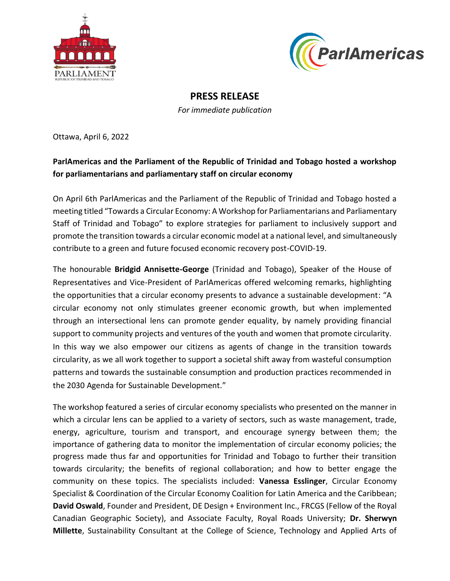



## **PRESS RELEASE**

*For immediate publication*

Ottawa, April 6, 2022

## **ParlAmericas and the Parliament of the Republic of Trinidad and Tobago hosted a workshop for parliamentarians and parliamentary staff on circular economy**

On April 6th ParlAmericas and the Parliament of the Republic of Trinidad and Tobago hosted a meeting titled "Towards a Circular Economy: A Workshop for Parliamentarians and Parliamentary Staff of Trinidad and Tobago" to explore strategies for parliament to inclusively support and promote the transition towards a circular economic model at a national level, and simultaneously contribute to a green and future focused economic recovery post-COVID-19.

The honourable **Bridgid Annisette-George** (Trinidad and Tobago), Speaker of the House of Representatives and Vice-President of ParlAmericas offered welcoming remarks, highlighting the opportunities that a circular economy presents to advance a sustainable development: "A circular economy not only stimulates greener economic growth, but when implemented through an intersectional lens can promote gender equality, by namely providing financial support to community projects and ventures of the youth and women that promote circularity. In this way we also empower our citizens as agents of change in the transition towards circularity, as we all work together to support a societal shift away from wasteful consumption patterns and towards the sustainable consumption and production practices recommended in the 2030 Agenda for Sustainable Development."

The workshop featured a series of circular economy specialists who presented on the manner in which a circular lens can be applied to a variety of sectors, such as waste management, trade, energy, agriculture, tourism and transport, and encourage synergy between them; the importance of gathering data to monitor the implementation of circular economy policies; the progress made thus far and opportunities for Trinidad and Tobago to further their transition towards circularity; the benefits of regional collaboration; and how to better engage the community on these topics. The specialists included: **Vanessa Esslinger**, Circular Economy Specialist & Coordination of the Circular Economy Coalition for Latin America and the Caribbean; **David Oswald**, Founder and President, DE Design + Environment Inc., FRCGS (Fellow of the Royal Canadian Geographic Society), and Associate Faculty, Royal Roads University; **Dr. Sherwyn Millette**, Sustainability Consultant at the College of Science, Technology and Applied Arts of